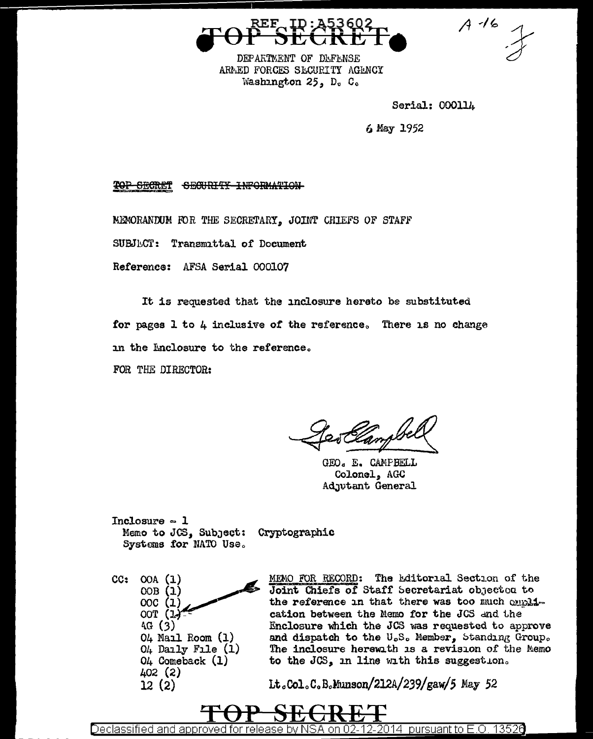DEPARTMENT OF DEFENSE ARMED FORCES SECURITY AGENCY Washington 25, D. C.

Serial: 000114

 $A - 16$ 

6 May 1952

TOP SECRET SECURITY INFORMATION

MEMORANDUM FOR THE SECRETARY, JOINT CHIEFS OF STAFF

**SUBJECT:** Transmittal of Document

Reference: AFSA Serial 000107

It is requested that the inclosure hereto be substituted for pages 1 to 4 inclusive of the reference. There is no change in the Enclosure to the reference.

FOR THE DIRECTOR:

GEO. E. CAMPBELL Colonel, AGC Adjutant General

Inclosure  $\sim$  1 Memo to JGS, Subject: Cryptographic Systems for NATO Use.

 $CC:$  $OOA$   $(1)$  $OOB(1)$ 00C (1) OOT (1.)  $4G(3)$  $04$  Mail Room  $(1)$  $04$  Daily File  $(1)$ 04 Comeback (1) 402 (2)  $12(2)$ 

MEMO FOR RECORD: The Editorial Section of the Joint Chiefs of Staff Secretariat objectod to the reference in that there was too much emplication between the Memo for the JCS and the Enclosure which the JCS was requested to approve and dispatch to the U.S. Member, Standing Group. The inclosure herewith is a revision of the Memo to the JCS, in line with this suggestion.

Lt.Col.C.B.Munson/212A/239/gaw/5 May 52

Declassified and approved for release by NSA on 02-12-2014 pursuant to E.O. 13526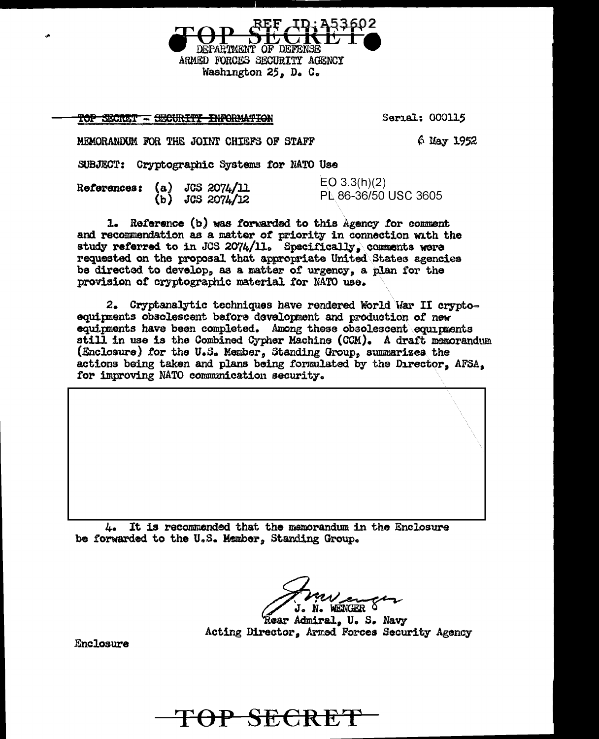TOP SECRET - SECURITY INFORMATION

Serial: 000115

MEMORANDUM FOR THE JOINT CHIEFS OF STAFF  $6$  May 1952

SUBJECT: Cryptographic Systems for NATO Use

|  |  | References: $(a)$ JCS 2074/11<br>(b) $JCS 2074/12$ | EO 3.3(h)(2)<br>PL 86-36/50 USC 3605 |
|--|--|----------------------------------------------------|--------------------------------------|
|--|--|----------------------------------------------------|--------------------------------------|

DEPARTMENT OF DEFENSE ARMED FORCES SECURITY AGENCY Washington 25, D. C.

1. Reference (b) was forwarded to this Agency for comment and recommendation as a matter of priority in connection with the study referred to in JCS 2074/11. Specifically, comments were requested on the proposal that appropriate United States agencies be directed to develop, as a matter of urgency, a plan for the provision of cryptographic material for NATO use.

2. Cryptanalytic techniques have rendered World War II cryptoequipments obsolescent before development and production of new equipments have been completed. Among these obsolescent equipments still in use is the Combined Cypher Machine (CCM). A draft memorandum (Enclosure) for the U.S. Member, Standing Group, summarizes the actions being taken and plans being formulated by the Director. AFSA. for improving NATO communication security.

It is recommended that the mamorandum in the Enclosure L. be forwarded to the U.S. Member, Standing Group.

J. N. WENGER

*<u>Rear Admiral</u>*, U. S. Navy Acting Director, Armed Forces Security Agency

Enclosure